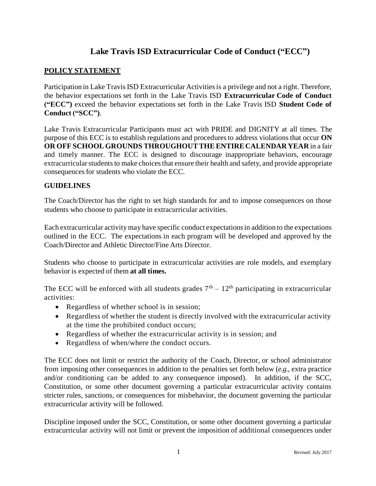# **Lake Travis ISD Extracurricular Code of Conduct ("ECC")**

#### **POLICY STATEMENT**

Participation in Lake Travis ISD Extracurricular Activities is a privilege and not a right. Therefore, the behavior expectations set forth in the Lake Travis ISD **Extracurricular Code of Conduct ("ECC")** exceed the behavior expectations set forth in the Lake Travis ISD **Student Code of Conduct ("SCC")**.

Lake Travis Extracurricular Participants must act with PRIDE and DIGNITY at all times. The purpose of this ECC is to establish regulations and proceduresto address violations that occur **ON OR OFF SCHOOLGROUNDS THROUGHOUTTHEENTIRE CALENDAR YEAR** in a fair and timely manner. The ECC is designed to discourage inappropriate behaviors, encourage extracurricular students to make choices that ensure their health and safety, and provide appropriate consequences for students who violate the ECC.

#### **GUIDELINES**

The Coach/Director has the right to set high standards for and to impose consequences on those students who choose to participate in extracurricular activities.

Each extracurricular activitymay have specific conduct expectationsin addition to the expectations outlined in the ECC. The expectations in each program will be developed and approved by the Coach/Director and Athletic Director/Fine Arts Director.

Students who choose to participate in extracurricular activities are role models, and exemplary behavior is expected of them **at all times.**

The ECC will be enforced with all students grades  $7<sup>th</sup> - 12<sup>th</sup>$  participating in extracurricular activities:

- Regardless of whether school is in session;
- Regardless of whether the student is directly involved with the extracurricular activity at the time the prohibited conduct occurs;
- Regardless of whether the extracurricular activity is in session; and
- Regardless of when/where the conduct occurs.

The ECC does not limit or restrict the authority of the Coach, Director, or school administrator from imposing other consequences in addition to the penalties set forth below (*e.g.*, extra practice and/or conditioning can be added to any consequence imposed). In addition, if the SCC, Constitution, or some other document governing a particular extracurricular activity contains stricter rules, sanctions, or consequences for misbehavior, the document governing the particular extracurricular activity will be followed.

Discipline imposed under the SCC, Constitution, or some other document governing a particular extracurricular activity will not limit or prevent the imposition of additional consequences under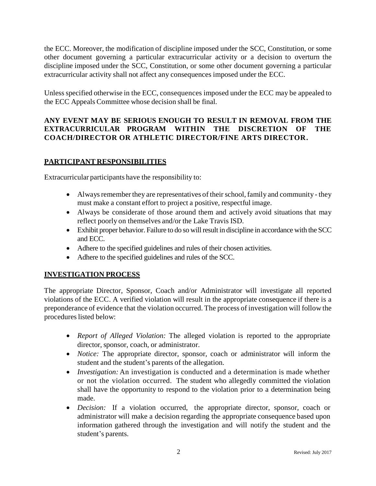the ECC. Moreover, the modification of discipline imposed under the SCC, Constitution, or some other document governing a particular extracurricular activity or a decision to overturn the discipline imposed under the SCC, Constitution, or some other document governing a particular extracurricular activity shall not affect any consequences imposed under the ECC.

Unless specified otherwise in the ECC, consequences imposed under the ECC may be appealed to the ECC Appeals Committee whose decision shall be final.

# **ANY EVENT MAY BE SERIOUS ENOUGH TO RESULT IN REMOVAL FROM THE EXTRACURRICULAR PROGRAM WITHIN THE DISCRETION OF THE COACH/DIRECTOR OR ATHLETIC DIRECTOR/FINE ARTS DIRECTOR.**

# **PARTICIPANT RESPONSIBILITIES**

Extracurricular participants have the responsibility to:

- $\bullet$  Always remember they are representatives of their school, family and community they must make a constant effort to project a positive, respectful image.
- Always be considerate of those around them and actively avoid situations that may reflect poorly on themselves and/or the Lake Travis ISD.
- Exhibit proper behavior. Failure to do so will result in discipline in accordance with the SCC and ECC.
- Adhere to the specified guidelines and rules of their chosen activities.
- Adhere to the specified guidelines and rules of the SCC.

# **INVESTIGATION PROCESS**

The appropriate Director, Sponsor, Coach and/or Administrator will investigate all reported violations of the ECC. A verified violation will result in the appropriate consequence if there is a preponderance of evidence that the violation occurred. The process of investigation will follow the procedures listed below:

- *Report of Alleged Violation:* The alleged violation is reported to the appropriate director, sponsor, coach, or administrator.
- *Notice:* The appropriate director, sponsor, coach or administrator will inform the student and the student's parents of the allegation.
- *Investigation:* An investigation is conducted and a determination is made whether or not the violation occurred. The student who allegedly committed the violation shall have the opportunity to respond to the violation prior to a determination being made.
- *Decision:* If a violation occurred, the appropriate director, sponsor, coach or administrator will make a decision regarding the appropriate consequence based upon information gathered through the investigation and will notify the student and the student's parents.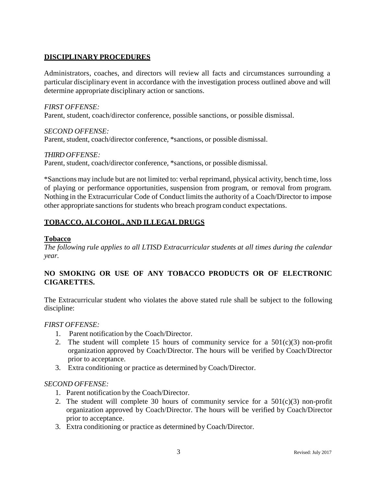## **DISCIPLINARY PROCEDURES**

Administrators, coaches, and directors will review all facts and circumstances surrounding a particular disciplinary event in accordance with the investigation process outlined above and will determine appropriate disciplinary action or sanctions.

*FIRST OFFENSE:* Parent, student, coach/director conference, possible sanctions, or possible dismissal.

*SECOND OFFENSE:* Parent, student, coach/director conference, \*sanctions, or possible dismissal.

*THIRD OFFENSE:* Parent, student, coach/director conference, \*sanctions, or possible dismissal.

\*Sanctions may include but are not limited to: verbal reprimand, physical activity, bench time, loss of playing or performance opportunities, suspension from program, or removal from program. Nothing in the Extracurricular Code of Conduct limits the authority of a Coach/Director to impose other appropriate sanctions for students who breach program conduct expectations.

# **TOBACCO, ALCOHOL, AND ILLEGAL DRUGS**

#### **Tobacco**

*The following rule applies to all LTISD Extracurricular students at all times during the calendar year.*

# **NO SMOKING OR USE OF ANY TOBACCO PRODUCTS OR OF ELECTRONIC CIGARETTES.**

The Extracurricular student who violates the above stated rule shall be subject to the following discipline:

#### *FIRST OFFENSE:*

- 1. Parent notification by the Coach/Director.
- 2. The student will complete 15 hours of community service for a  $501(c)(3)$  non-profit organization approved by Coach/Director. The hours will be verified by Coach/Director prior to acceptance.
- 3. Extra conditioning or practice as determined by Coach/Director.

#### *SECOND OFFENSE:*

- 1. Parent notification by the Coach/Director.
- 2. The student will complete 30 hours of community service for a  $501(c)(3)$  non-profit organization approved by Coach/Director. The hours will be verified by Coach/Director prior to acceptance.
- 3. Extra conditioning or practice as determined by Coach/Director.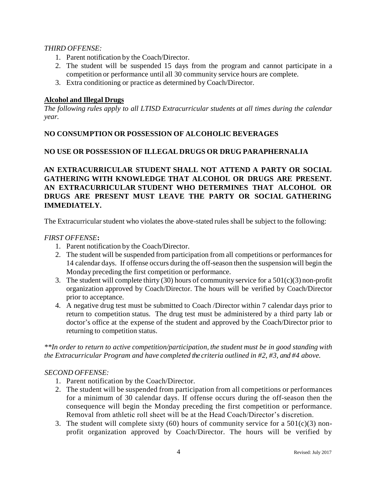### *THIRD OFFENSE:*

- 1. Parent notification by the Coach/Director.
- 2. The student will be suspended 15 days from the program and cannot participate in a competition or performance until all 30 community service hours are complete.
- 3. Extra conditioning or practice as determined by Coach/Director.

## **Alcohol and Illegal Drugs**

*The following rules apply to all LTISD Extracurricular students at all times during the calendar year.*

## **NO CONSUMPTION OR POSSESSION OF ALCOHOLIC BEVERAGES**

# **NO USE OR POSSESSION OF ILLEGAL DRUGS OR DRUG PARAPHERNALIA**

**AN EXTRACURRICULAR STUDENT SHALL NOT ATTEND A PARTY OR SOCIAL GATHERING WITH KNOWLEDGE THAT ALCOHOL OR DRUGS ARE PRESENT. AN EXTRACURRICULAR STUDENT WHO DETERMINES THAT ALCOHOL OR DRUGS ARE PRESENT MUST LEAVE THE PARTY OR SOCIAL GATHERING IMMEDIATELY.**

The Extracurricular student who violates the above-stated rules shall be subject to the following:

#### *FIRST OFFENSE***:**

- 1. Parent notification by the Coach/Director.
- 2. The student will be suspended from participation from all competitions or performances for 14 calendar days. If offense occurs during the off-season then the suspension will begin the Monday preceding the first competition or performance.
- 3. The student will complete thirty (30) hours of community service for a  $501(c)(3)$  non-profit organization approved by Coach/Director. The hours will be verified by Coach/Director prior to acceptance.
- 4. A negative drug test must be submitted to Coach /Director within 7 calendar days prior to return to competition status. The drug test must be administered by a third party lab or doctor's office at the expense of the student and approved by the Coach/Director prior to returning to competition status.

*\*\*In order to return to active competition/participation, the student must be in good standing with the Extracurricular Program and have completed the criteria outlined in #2, #3, and #4 above.* 

#### *SECOND OFFENSE:*

- 1. Parent notification by the Coach/Director.
- 2. The student will be suspended from participation from all competitions or performances for a minimum of 30 calendar days. If offense occurs during the off-season then the consequence will begin the Monday preceding the first competition or performance. Removal from athletic roll sheet will be at the Head Coach/Director's discretion.
- 3. The student will complete sixty (60) hours of community service for a  $501(c)(3)$  nonprofit organization approved by Coach/Director. The hours will be verified by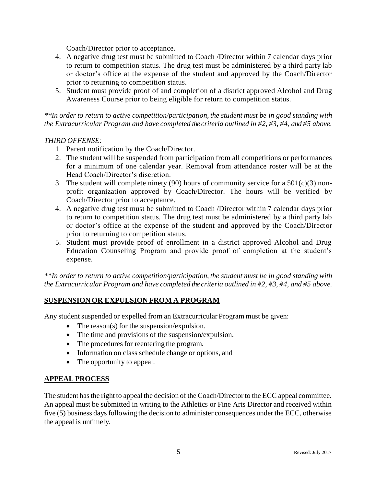Coach/Director prior to acceptance.

- 4. A negative drug test must be submitted to Coach /Director within 7 calendar days prior to return to competition status. The drug test must be administered by a third party lab or doctor's office at the expense of the student and approved by the Coach/Director prior to returning to competition status.
- 5. Student must provide proof of and completion of a district approved Alcohol and Drug Awareness Course prior to being eligible for return to competition status.

*\*\*In order to return to active competition/participation, the student must be in good standing with the Extracurricular Program and have completed the criteria outlined in #2, #3, #4, and #5 above.*

#### *THIRD OFFENSE:*

- 1. Parent notification by the Coach/Director.
- 2. The student will be suspended from participation from all competitions or performances for a minimum of one calendar year. Removal from attendance roster will be at the Head Coach/Director's discretion.
- 3. The student will complete ninety (90) hours of community service for a  $501(c)(3)$  nonprofit organization approved by Coach/Director. The hours will be verified by Coach/Director prior to acceptance.
- 4. A negative drug test must be submitted to Coach /Director within 7 calendar days prior to return to competition status. The drug test must be administered by a third party lab or doctor's office at the expense of the student and approved by the Coach/Director prior to returning to competition status.
- 5. Student must provide proof of enrollment in a district approved Alcohol and Drug Education Counseling Program and provide proof of completion at the student's expense.

*\*\*In order to return to active competition/participation, the student must be in good standing with the Extracurricular Program and have completed the criteria outlined in #2, #3, #4, and #5 above.*

#### **SUSPENSION OR EXPULSION FROM A PROGRAM**

Any student suspended or expelled from an Extracurricular Program must be given:

- The reason(s) for the suspension/expulsion.
- The time and provisions of the suspension/expulsion.
- The procedures for reentering the program.
- Information on class schedule change or options, and
- The opportunity to appeal.

#### **APPEAL PROCESS**

The student has the right to appeal the decision of the Coach/Director to the ECC appeal committee. An appeal must be submitted in writing to the Athletics or Fine Arts Director and received within five (5) business days following the decision to administer consequences under the ECC, otherwise the appeal is untimely.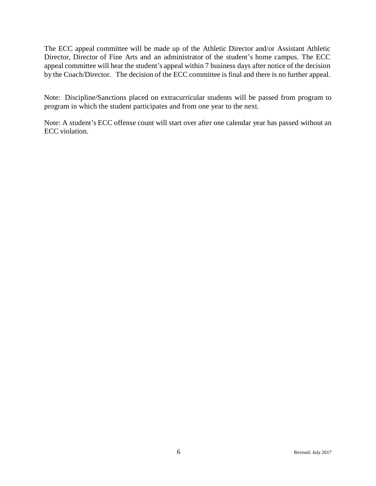The ECC appeal committee will be made up of the Athletic Director and/or Assistant Athletic Director, Director of Fine Arts and an administrator of the student's home campus. The ECC appeal committee will hear the student's appeal within 7 business days after notice of the decision by the Coach/Director. The decision of the ECC committee is final and there is no further appeal.

Note: Discipline/Sanctions placed on extracurricular students will be passed from program to program in which the student participates and from one year to the next.

Note: A student's ECC offense count will start over after one calendar year has passed without an ECC violation.